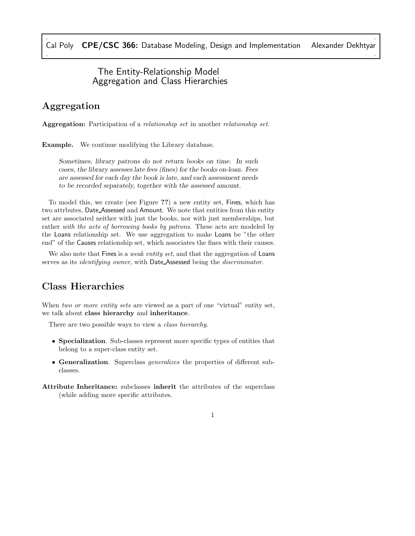### The Entity-Relationship Model Aggregation and Class Hierarchies

## Aggregation

Aggregation: Participation of a relationship set in another relationship set.

Example. We continue modifying the Library database.

*Sometimes, library patrons do not return books on time. In such cases, the library assesses late fees (fines) for the books on-loan. Fees are assessed for each day the book is late, and each assessment needs to be recorded separately, together with the assessed amount.*

To model this, we create (see Figure ??) a new entity set, Fines, which has two attrbutes, Date Assessed and Amount. We note that entities from this entity set are associated neither with just the books, nor with just memberships, but rather with the acts of borrowing books by patrons. These acts are modeled by the Loans relationship set. We use aggregation to make Loans be "the other end" of the Causes relationship set, which associates the fines with their causes.

We also note that Fines is a *weak entity set*, and that the aggregation of Loans serves as its *identifying owner*, with Date Assessed being the *discriminator*.

### Class Hierarchies

When two or more entity sets are viewed as a part of one "virtual" entity set, we talk about class hierarchy and inheritance.

There are two possible ways to view a *class hierarchy*.

- Specialization. Sub-classes represent more specific types of entities that belong to a super-class entity set.
- Generalization. Superclass generalizes the properties of different subclasses.
- Attribute Inheritance: subclasses inherit the attributes of the superclass (while adding more specific attributes.

#### 1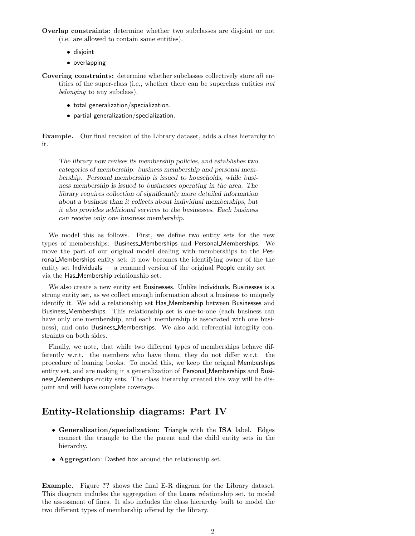Overlap constraints: determine whether two subclasses are disjoint or not (i.e. are allowed to contain same entities).

- disjoint
- overlapping
- Covering constraints: determine whether subclasses collectively store all entities of the super-class (i.e., whether there can be superclass entities not belonging to any subclass).
	- total generalization/specialization.
	- partial generalization/specialization.

Example. Our final revision of the Library dataset, adds a class hierarchy to it.

*The library now revises its membership policies, and establishes two categories of membership: business membership and personal membership. Personal membership is issued to households, while business membership is issued to businesses operating in the area. The library requires collection of significantly more detailed information about a business than it collects about individual memberships, but it also provides additional services to the businesses. Each business can receive only one business membership.*

We model this as follows. First, we define two entity sets for the new types of memberships: Business Memberships and Personal Memberships. We move the part of our original model dealing with memberships to the Pesronal Memberships entity set: it now becomes the identifying owner of the the entity set Individuals — a renamed version of the original People entity set via the Has Membership relationship set.

We also create a new entity set Businesses. Unlike Individuals, Businesses is a strong entity set, as we collect enough information about a business to uniquely identify it. We add a relationship set Has Membership between Businesses and Business Memberships. This relationship set is one-to-one (each business can have only one membership, and each membership is associated with one business), and onto Business Memberships. We also add referential integrity constraints on both sides.

Finally, we note, that while two different types of memberships behave differently w.r.t. the members who have them, they do not differ w.r.t. the procedure of loaning books. To model this, we keep the orignal Memberships entity set, and are making it a generalization of Personal Memberships and Business Memberships entity sets. The class hierarchy created this way will be disjoint and will have complete coverage.

# Entity-Relationship diagrams: Part IV

- Generalization/specialization: Triangle with the ISA label. Edges connect the triangle to the the parent and the child entity sets in the hierarchy.
- Aggregation: Dashed box around the relationship set.

Example. Figure ?? shows the final E-R diagram for the Library dataset. This diagram includes the aggregation of the Loans relationship set, to model the assessment of fines. It also includes the class hierarchy built to model the two different types of membership offered by the library.